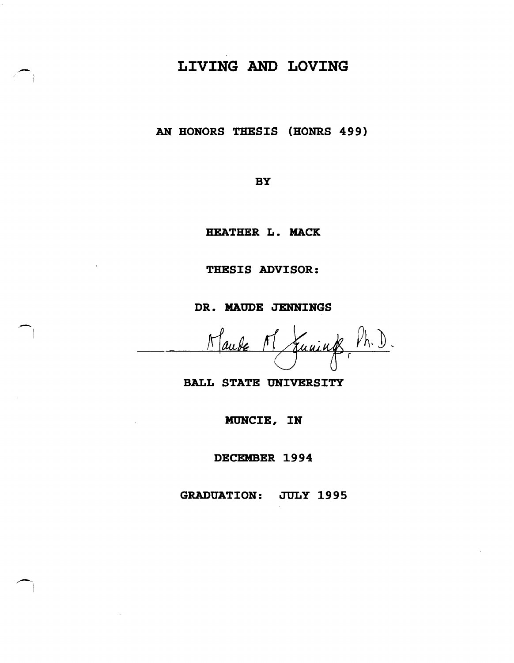# LIVING AND LOVING

AN HONORS THESIS (HONRS 499)

**BY** 

HEATHER L. MACK

THESIS ADVISOR:

DR. MAUDE JENNINGS

 $\overline{\phantom{0}}$ 

 $\sim$   $\sim$ 

Funing, M.D. Maube

BALL STATE UNIVERSITY

MUNCIE, IN

DECEMBER 1994

GRADUATION: JULY 1995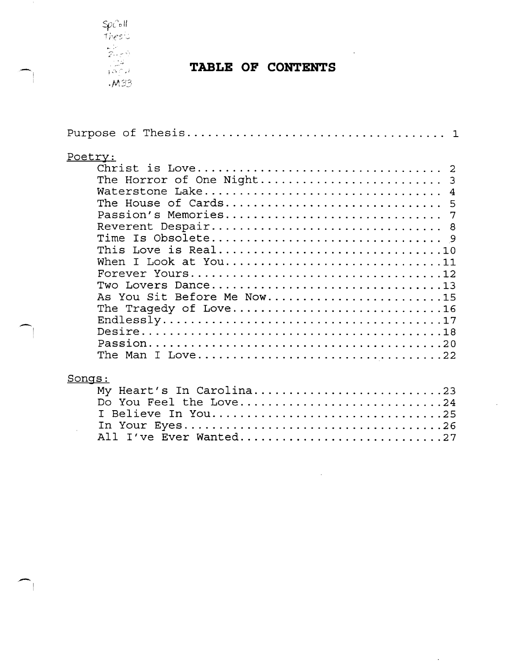$\frac{SpCoII}{Theso}$  $-2.79$ <br> $+6.79$ <br> $+6.79$  $M33$ 

--

 $\sim 0$  .

-I

 $\overline{\phantom{0}}$ 

# **TABLE OF CONTENTS**

| Poetry:<br>The Horror of One Night<br>3<br>Waterstone Lake 4<br>The House of Cards 5<br>Reverent Despair 8<br>This Love is Real10<br>I Look at You11<br>When<br>Two Lovers Dance13 |
|------------------------------------------------------------------------------------------------------------------------------------------------------------------------------------|
| As You Sit Before Me Now15<br>The Tragedy of Love16<br>The Man I Love22                                                                                                            |
| Songs:<br>My Heart's In Carolina23<br>Do You Feel the Love24<br>$\mathsf{T}$<br>Believe In You25<br>All I've Ever Wanted27                                                         |

 $\mathcal{A}$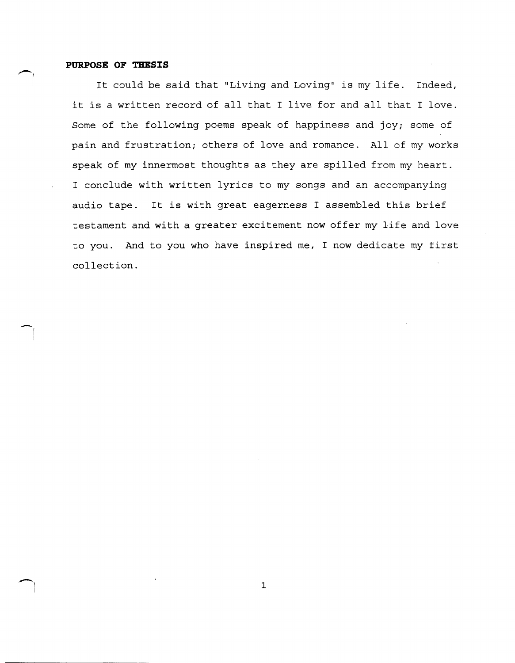#### **PURPOSE OF THESIS**

~I

 $\overline{\phantom{a}}$ 

 $\blacksquare$ I

It could be said that "Living and Loving" is my life. Indeed, it is a written record of all that I live for and all that I love. Some of the following poems speak of happiness and joy; some of pain and frustration; others of love and romance. All of my works speak of my innermost thoughts as they are spilled from my heart. I conclude with written lyrics to my songs and an accompanying audio tape. It is with great eagerness I assembled this brief testament and with a greater excitement now offer my life and love to you. And to you who have inspired me, I now dedicate my first collection.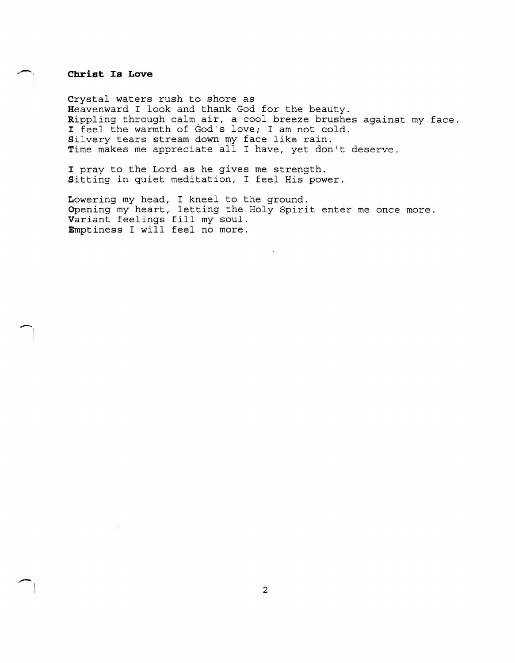# ~-! **Christ Is Love**

 $\overline{\phantom{a}}$ 

 $\leftarrow$ . I Crystal waters rush to shore as Heavenward I look and thank God for the beauty. Rippling through calm air, a cool breeze brushes against my face. I feel the warmth of God's love; I am not cold. Silvery tears stream down my face like rain. Time makes me appreciate all I have, yet don't deserve.

I pray to the Lord as he gives me strength. Sitting in quiet meditation, I feel His power.

Lowering my head, I kneel to the ground. Opening my heart, letting the Holy Spirit enter me once more. Variant feelings fill my soul. Emptiness I will feel no more.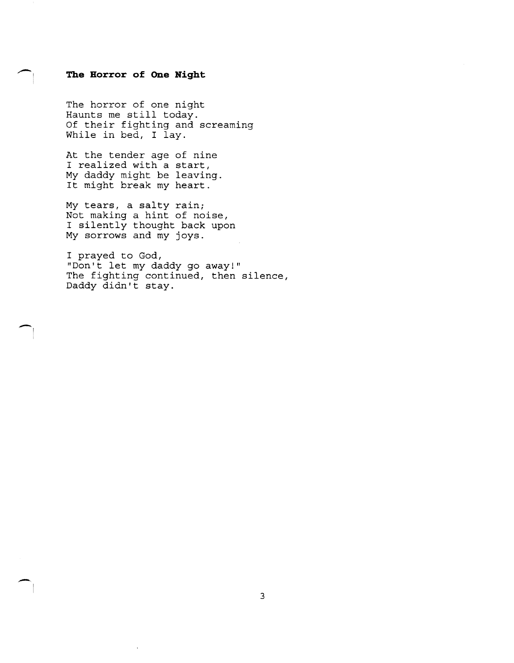# The Horror of One Night

The horror of one night Haunts me still today. Of their fighting and screaming While in bed, I lay.

At the tender age of nine I realized with a start, My daddy might be leaving. It might break my heart.

My tears, a salty rain; Not making a hint of noise, I silently thought back upon My sorrows and my joys.

-I

I prayed to God, "Don't let my daddy go away!" The fighting continued, then silence, Daddy didn't stay.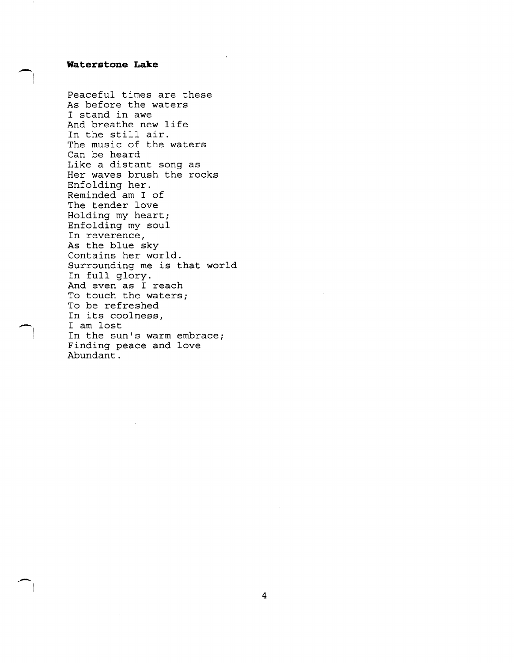# Waters tone **Lake**

 $\overline{\phantom{0}}$ 

..-. I

Peaceful times are these As before the waters I stand in awe And breathe new life In the still air. The music of the waters Can be heard Like a distant song as Her waves brush the rocks Enfolding her. Reminded am I of The tender love Holding my heart; Enfolding my soul In reverence, As the blue sky Contains her world. Surrounding me is that world In full glory. And even as I reach To touch the waters; To be refreshed In its coolness, I am lost In the sun's warm embrace; Finding peace and love Abundant .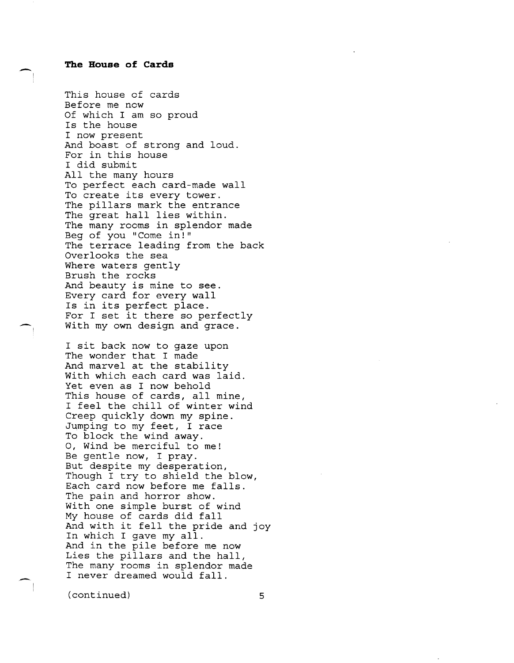#### **The Bouse of Cards**

-

 $-$ 

-

This house of cards Before me now Of which I am so proud Is the house I now present And boast of strong and loud. For in this house I did submit All the many hours To perfect each card-made wall To create its every tower. The pillars mark the entrance The great hall lies within. The many rooms in splendor made Beg of you "Come in!" The terrace leading from the back Overlooks the sea Where waters gently Brush the rocks And beauty is mine to see. Every card for every wall Is in its perfect place. For I set it there so perfectly With my own design and grace .

I sit back now to gaze upon The wonder that I made And marvel at the stability With which each card was laid. Yet even as I now behold This house of cards, all mine, I feel the chill of winter wind Creep quickly down my spine. Jumping to my feet, I race To block the wind away. 0, Wind be merciful to me! Be gentle now, I pray. But despite my desperation, Though I try to shield the blow, Each card now before me falls. The pain and horror show. With one simple burst of wind My house of cards did fall And with it fell the pride and joy In which I gave my all. And in the pile before me now Lies the pillars and the hall, The many rooms in splendor made I never dreamed would fall.

(continued) 5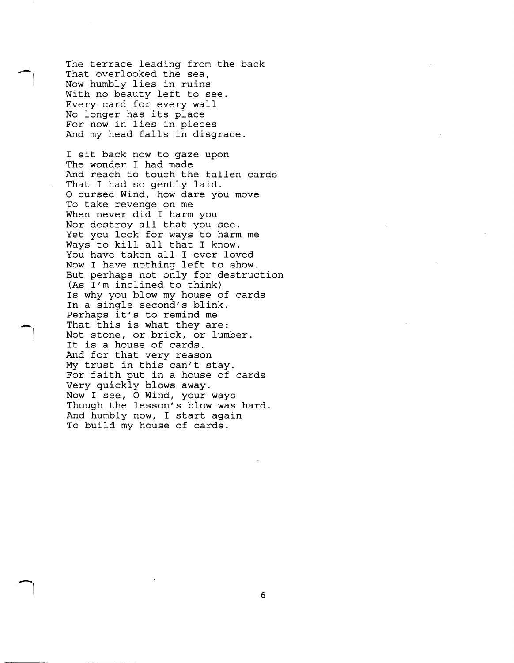The terrace leading from the back That overlooked the sea, Now humbly lies in ruins With no beauty left to see. Every card for every wall No longer has its place For now in lies in pieces And my head falls in disgrace.

-I

-I

I sit back now to gaze upon The wonder I had made And reach to touch the fallen cards That I had so gently laid. o cursed Wind, how dare you move To take revenge on me When never did I harm you Nor destroy all that you see. Yet you look for ways to harm me Ways to kill all that I know. You have taken all I ever loved Now I have nothing left to show. But perhaps not only for destruction (As I'm inclined to think) Is why you blow my house of cards In a single second's blink. Perhaps it's to remind me That this is what they are: Not stone, or brick, or lumber. It is a house of cards. And for that very reason My trust in this can't stay. For faith put in a house of cards Very quickly blows away. Now I see, 0 Wind, your ways Though the lesson's blow was hard. And humbly now, I start again To build my house of cards.

6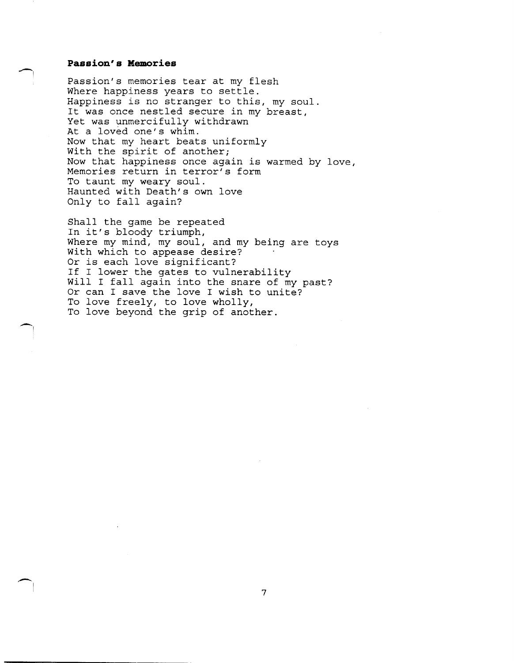#### **Passion's Memories**

 $\overline{\phantom{0}}$ 

 $\left( \frac{1}{2} \right)$ I

Passion's memories tear at my flesh Where happiness years to settle. Happiness is no stranger to this, my soul. It was once nestled secure in my breast, Yet was unmercifully withdrawn At a loved one's whim. Now that my heart beats uniformly With the spirit of another; Now that happiness once again is warmed by love, Memories return in terror's form To taunt my weary soul. Haunted with Death's own love Only to fall again?

Shall the game be repeated In it's bloody triumph, Where my mind, my soul, and my being are toys With which to appease desire? Or is each love significant? If I lower the gates to vulnerability Will I fall again into the snare of my past? Or can I save the love I wish to unite? To love freely, to love wholly, To love beyond the grip of another.

7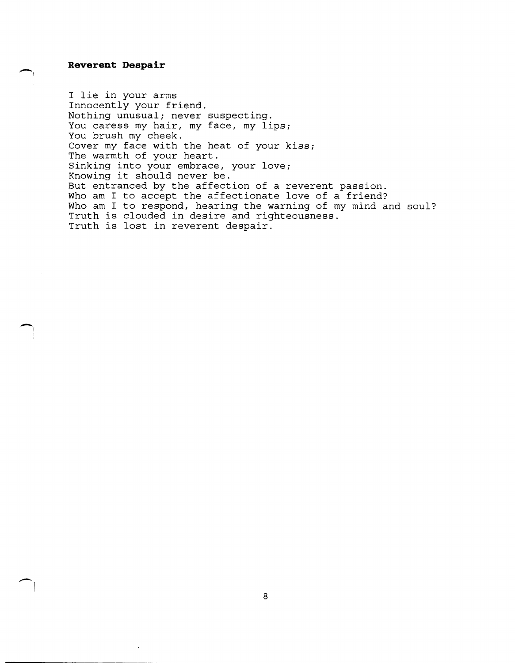# **Reverent Despair**

-I

 $\bigcap$ 

I lie in your arms Innocently your friend. Nothing unusual; never suspecting. You caress my hair, my face, my lips; You brush my cheek. Cover my face with the heat of your kiss; The warmth of your heart. Sinking into your embrace, your love; Knowing it should never be. But entranced by the affection of a reverent passion. Who am I to accept the affectionate love of a friend? Who am I to respond, hearing the warning of my mind and soul? Truth is clouded in desire and righteousness. Truth is lost in reverent despair.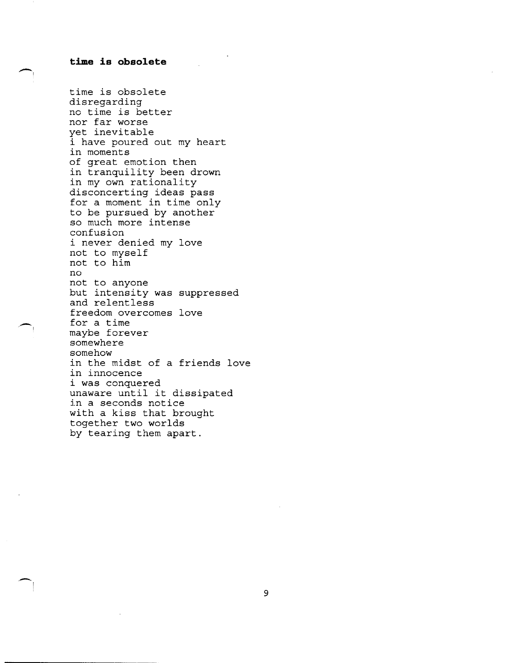# **time is obsolete**

 $\overline{\phantom{a}}$ 

 $\overline{\phantom{0}}$ 

-I

time is obsolete disregarding no time is better nor far worse yet inevitable i have poured out my heart in moments of great emotion then in tranquility been drown in my own rationality disconcerting ideas pass for a moment in time only to be pursued by another so much more intense confusion i never denied my love not to myself not to him no not to anyone but intensity was suppressed and relentless freedom overcomes love for a time maybe forever somewhere somehow in the midst of a friends love in innocence i was conquered unaware until it dissipated in a seconds notice with a kiss that brought together two worlds by tearing them apart.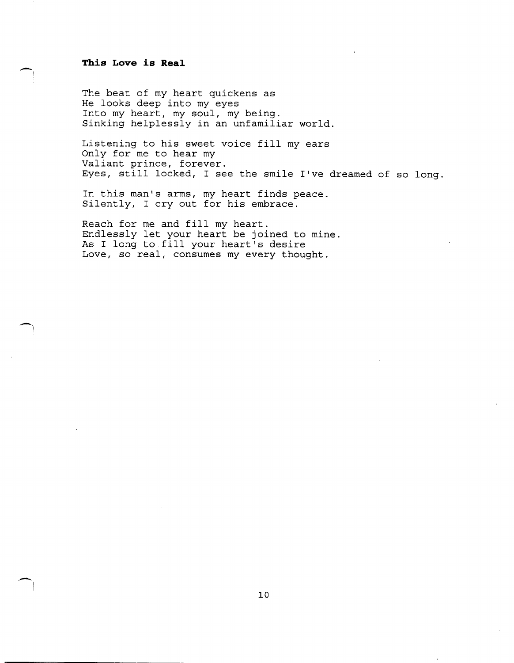# **This Love is Real**

 $\overline{\phantom{a}}$ 

 $-$ 

-I

The beat of my heart quickens as He looks deep into my eyes Into my heart, my soul, my being. Sinking helplessly in an unfamiliar world.

Listening to his sweet voice fill my ears Only for me to hear my Valiant prince, forever. Eyes, still locked, I see the smile I've dreamed of so long.

In this man's arms, my heart finds peace. Silently, I cry out for his embrace.

Reach for me and fill my heart. Endlessly let your heart be joined to mine. As I long to fill your heart's desire Love, so real, consumes my every thought.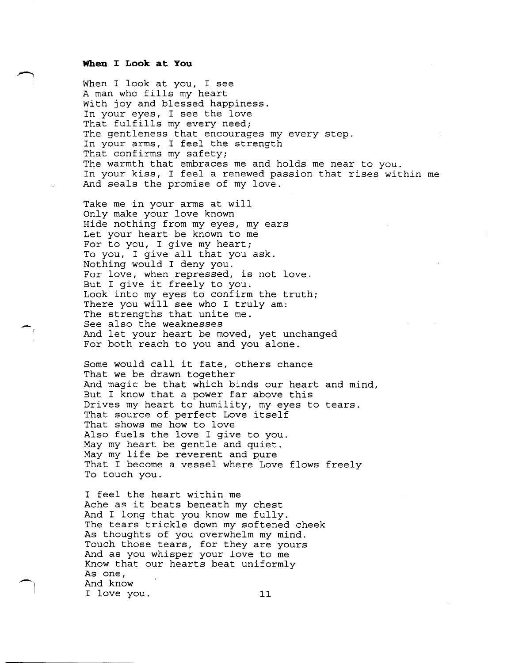#### **When I Look at You**

-

When I look at you, I see A man who fills my heart With joy and blessed happiness. In your eyes, I see the love That fulfills my every need; The gentleness that encourages my every step. In your arms, I feel the strength That confirms my safety; The warmth that embraces me and holds me near to you. In your kiss, I feel a renewed passion that rises within me And seals the promise of my love.

Take me in your arms at will Only make your love known Hide nothing from my eyes, my ears Let your heart be known to me For to you, I give my heart; To you, I give all that you ask. Nothing would I deny you. For love, when repressed, is not love. But I give it freely to you. Look into my eyes to confirm the truth; There you will see who I truly am: The strengths that unite me. See also the weaknesses And let your heart be moved, yet unchanged For both reach to you and you alone.

Some would call it fate, others chance That we be drawn together And magic be that which binds our heart and mind, But I know that a power far above this Drives my heart to humility, my eyes to tears. That source of perfect Love itself That shows me how to love Also fuels the love I give to you. May my heart be gentle and quiet. May my life be reverent and pure That I become a vessel where Love flows freely To touch you.

I feel the heart within me Ache as it beats beneath my chest And I long that you know me fully. The tears trickle down my softened cheek As thoughts of you overwhelm my mind. Touch those tears, for they are yours And as you whisper your love to me Know that our hearts beat uniformly As one, And know I love you. 11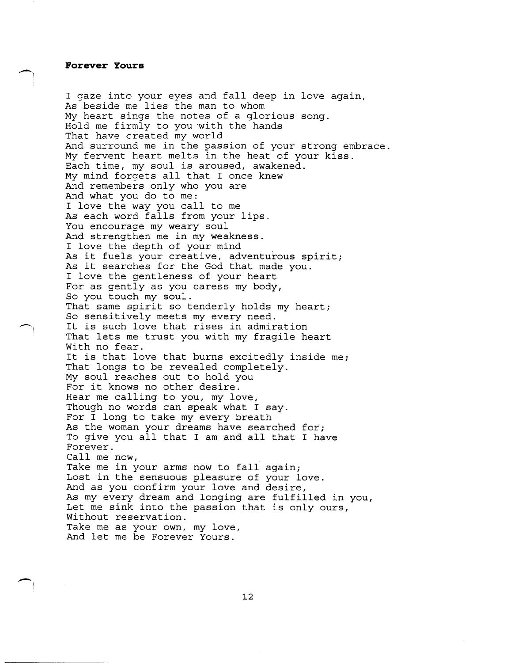### **Forever Yours**

 $\overline{\phantom{0}}$ 

 $\overline{\phantom{a}}$ 

I gaze into your eyes and fall deep in love again, As beside me lies the man to whom My heart sings the notes of a glorious song. Hold me firmly to you 'with the hands That have created my world And surround me in the passion of your strong embrace. My fervent heart melts in the heat of your kiss. Each time, my soul is aroused, awakened. My mind forgets all that I once knew And remembers only who you are And what you do to me: I love the way you call to me As each word falls from your lips. You encourage my weary soul And strengthen me in my weakness. I love the depth of your mind As it fuels your creative, adventurous spirit; As it searches for the God that made you. I love the gentleness of your heart For as gently as you caress my body, So you touch my soul. That same spirit so tenderly holds my heart; So sensitively meets my every need. It is such love that rises in admiration That lets me trust you with my fragile heart With no fear. It is that love that burns excitedly inside me; That longs to be revealed completely. My soul reaches out to hold you For it knows no other desire. Hear me calling to you, my love, Though no words can speak what I say. For I long to take my every breath As the woman your dreams have searched for; To give you all that I am and all that I have Forever. Call me now, Take me in your arms now to fall again; Lost in the sensuous pleasure of your love. And as you confirm your love and desire, As my every dream and longing are fulfilled in you, Let me sink into the passion that is only ours, Without reservation. Take me as your own, my love, And let me be Forever Yours .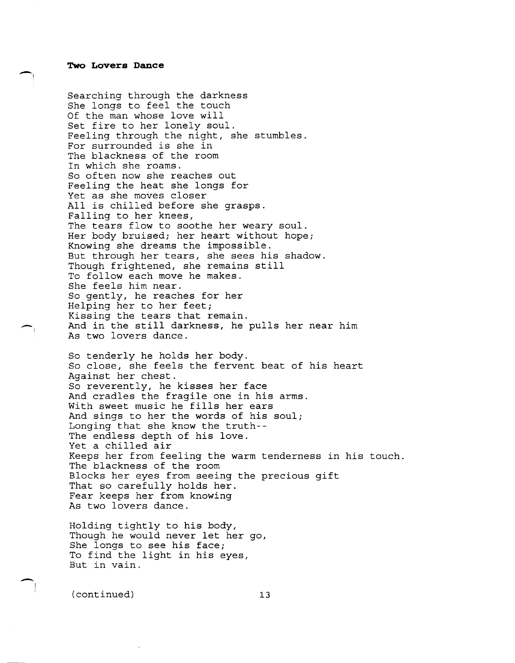$\overline{\phantom{0}}$ 

Searching through the darkness She longs to feel the touch Of the man whose love will Set fire to her lonely soul. Feeling through the night, she stumbles. For surrounded is she in The blackness of the room In which she roams. So often now she reaches out Feeling the heat she longs for Yet as she moves closer All is chilled before she grasps. Falling to her knees, The tears flow to soothe her weary soul. Her body bruised; her heart without hope; Knowing she dreams the impossible. But through her tears, she sees his shadow. Though frightened, she remains still To follow each move he makes. She feels him near. So gently, he reaches for her Helping her to her feet; Kissing the tears that remain. And in the still darkness, he pulls her near him As two lovers dance. So tenderly he holds her body. So close, she feels the fervent beat of his heart Against her chest. So reverently, he kisses her face And cradles the fragile one in his arms. With sweet music he fills her ears And sings to her the words of his soul; Longing that she know the truth-- The endless depth of his love. Yet a chilled air Keeps her from feeling the warm tenderness in his touch. The blackness of the room Blocks her eyes from seeing the precious gift

That so carefully holds her. Fear keeps her from knowing As two lovers dance.

Holding tightly to his body, Though he would never let her go, She longs to see his face; To find the light in his eyes, But in vain.

( continued) 13

-!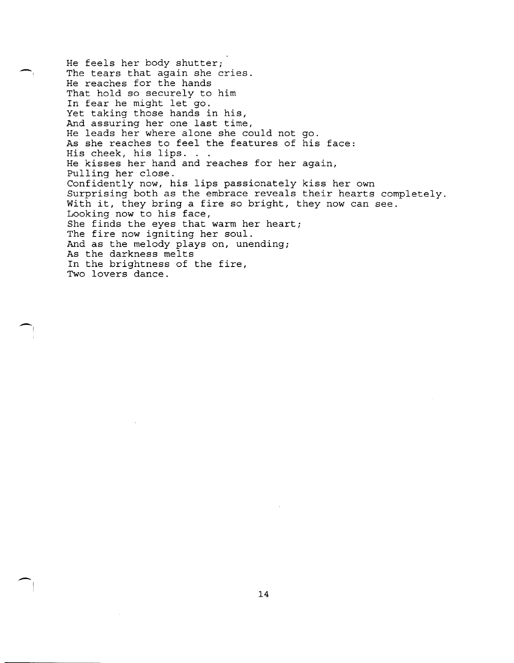He feels her body shutter; The tears that again she cries. He reaches for the hands That hold so securely to him In fear he might let go. Yet taking those hands in his, And assuring her one last time, He leads her where alone she could not go. As she reaches to feel the features of his face: His cheek, his lips. . . He kisses her hand and reaches for her again, Pulling her close. Confidently now, his lips passionately kiss her own Surprising both as the embrace reveals their hearts completely. With it, they bring a fire so bright, they now can see. Looking now to his face, She finds the eyes that warm her heart; The fire now igniting her soul. And as the melody plays on, unending; As the darkness melts In the brightness of the fire, Two lovers dance.

 $\overline{\phantom{0}}$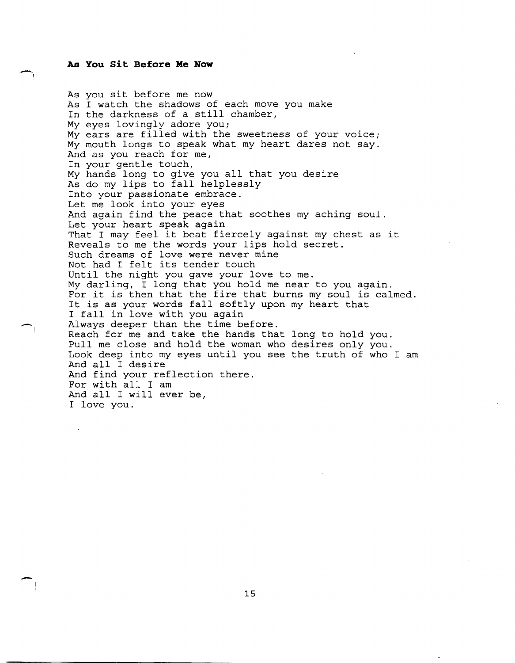#### **As You Sit Before Me Now**

~ I

-

As you sit before me now As I watch the shadows of each move you make In the darkness of a still chamber, My eyes lovingly adore you; My ears are filled with the sweetness of your voice; My mouth longs to speak what my heart dares not say. And as you reach for me, In your gentle touch, My hands long to give you all that you desire As do my lips to fall helplessly Into your passionate embrace. Let me look into your eyes And again find the peace that soothes my aching soul. Let your heart speak again That I may feel it beat fiercely against my chest as it Reveals to me the words your lips hold secret. Such dreams of love were never mine Not had I felt its tender touch Until the night you gave your love to me. My darling, I long that you hold me near to you again. For it is then that the fire that burns my soul is calmed. It is as your words fall softly upon my heart that I fall in love with you again Always deeper than the time before. Reach for me and take the hands that long to hold you. Pull me close and hold the woman who desires only you. Look deep into my eyes until you see the truth of who I am And all I desire And find your reflection there. For with all I am And all I will ever be, I love you.

15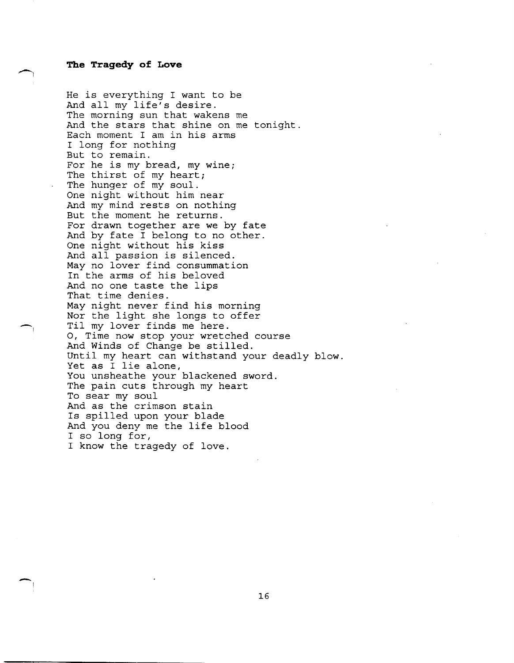# **The Tragedy of Love**

-!

He is everything I want to be And all my life's desire. The morning sun that wakens me And the stars that shine on me tonight. Each moment I am in his arms I long for nothing But to remain. For he is my bread, my wine; The thirst of my heart; The hunger of my soul. One night without him near And my mind rests on nothing But the moment he returns. For drawn together are we by fate And by fate I belong to no other. One night without his kiss And all passion is silenced. May no lover find consummation In the arms of his beloved And no one taste the lips That time denies. May night never find his morning Nor the light she longs to offer Til my lover finds me here. 0, Time now stop your wretched course And Winds of Change be stilled. Until my heart can withstand your deadly blow. Yet as I lie alone, You unsheathe your blackened sword. The pain cuts through my heart To sear my soul And as the crimson stain Is spilled upon your blade And you deny me the life blood I so long for, I know the tragedy of love.

16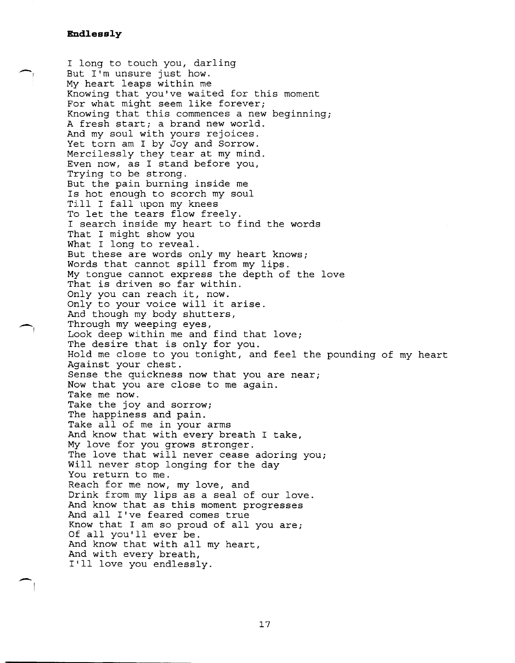# **Endlessly**

 $\overline{\phantom{a}}$ 

 $\bigcap$ 

 $\overline{\phantom{a}}$ 

I long to touch you, darling But 11m unsure just how. My heart leaps within me Knowing that you've waited for this moment For what might seem like forever; Knowing that this commences a new beginning; A fresh start; a brand new world. And my soul with yours rejoices. Yet torn am I by Joy and Sorrow. Mercilessly they tear at my mind. Even now, as I stand before you, Trying to be strong. But the pain burning inside me Is hot enough to scorch my soul Till I fall upon my knees To let the tears flow freely. I search inside my heart to find the words That I might show you What I long to reveal. But these are words only my heart knows; Words that cannot spill from my lips. My tongue cannot express the depth of the love That is driven so far within. Only you can reach it, now. Only to your voice will it arise. And though my body shutters, Through my weeping eyes, Look deep within me and find that love; The desire that is only for you. Hold me close to you tonight, and feel the pounding of my heart Against your chest. Sense the quickness now that you are near; Now that you are close to me again. Take me now. Take the joy and sorrow; The happiness and pain. Take all of me in your arms And know that with every breath I take, My love for you grows stronger. The love that will never cease adoring you; Will never stop longing for the day You return to me. Reach for me now, my love, and Drink from my lips as a seal of our love. And know that as this moment progresses And all live feared comes true Know that I am so proud of all you are; Of all you'll ever be. And know that with all my heart, And with every breath, I'll love you endlessly.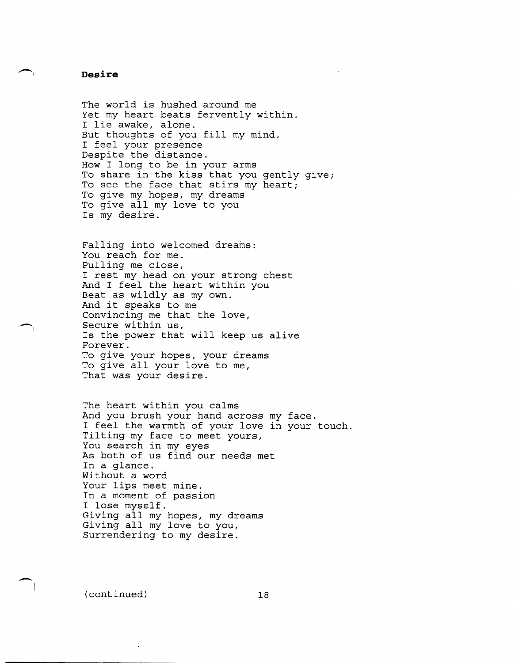# **Desire**

 $\blacksquare$ 

 $\bigcap$ 

-I

The world is hushed around me Yet my heart beats fervently within. I lie awake, alone. But thoughts of you fill my mind. I feel your presence Despite the distance. How I long to be in your arms To share in the kiss that you gently give; To see the face that stirs my heart; To give my hopes, my dreams To give all my love to you Is my desire.

Falling into welcomed dreams: You reach for me. Pulling me close, I rest my head on your strong chest And I feel the heart within you Beat as wildly as my own. And it speaks to me Convincing me that the love, Secure within us, Is the power that will keep us alive Forever. To give your hopes, your dreams To give all your love to me, That was your desire.

The heart within you calms And you brush your hand across my face. I feel the warmth of your love in your touch. Tilting my face to meet yours, You search in my eyes As both of us find our needs met In a glance. Without a word Your lips meet mine. In a moment of passion I lose myself. Giving all my hopes, my dreams Giving all my love to you, Surrendering to my desire.

( continued) 18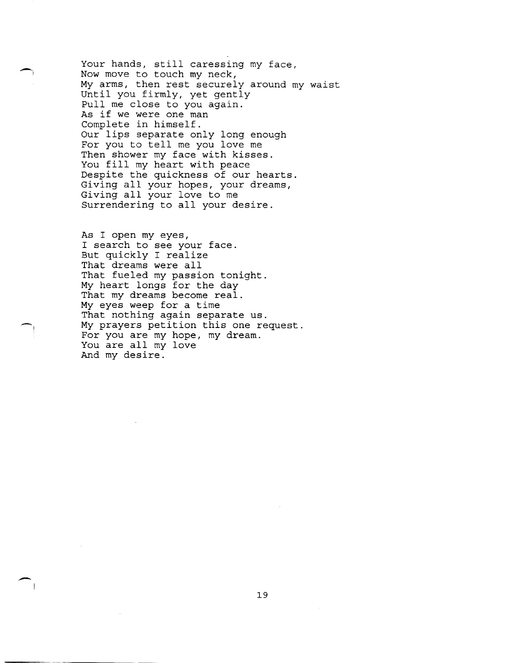Your hands, still caressing my face, Now move to touch my neck, My arms, then rest securely around my waist Until you firmly, yet gently Pull me close to you again. As if we were one man Complete in himself. Our lips separate only long enough For you to tell me you love me Then shower my face with kisses. You fill my heart with peace Despite the quickness of our hearts. Giving all your hopes, your dreams, Giving all your love to me Surrendering to all your desire.

 $\overline{\phantom{1}}$ 

--!

-

As I open my eyes, I search to see your face. But quickly I realize That dreams were all That fueled my passion tonight. My heart longs for the day That my dreams become real. My eyes weep for a time That nothing again separate us. My prayers petition this one request. For you are my hope, my dream. You are all my love And my desire.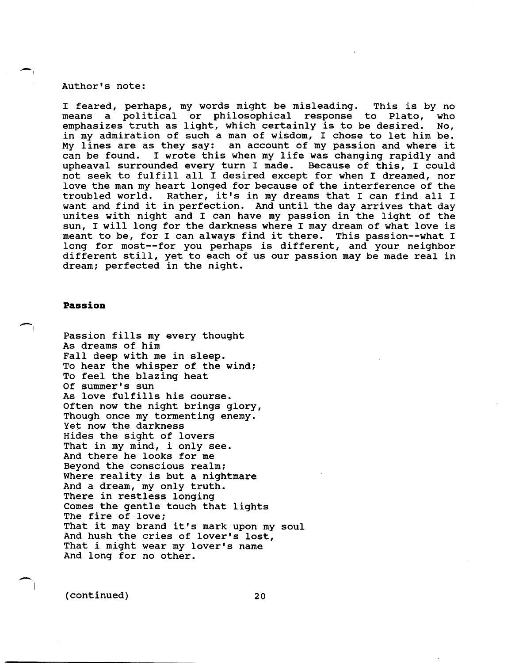#### Author's note:

-I

I feared, perhaps, my words might be misleading. This is by no<br>means a political or philosophical response to Plato, who means a political or philosophical response to Plato, who<br>emphasizes truth as light, which certainly is to be desired. No, emphasizes truth as light, which certainly is to be desired. in my admiration of such a man of wisdom, I chose to let him be. My lines are as they say: an account of my passion and where it can be found. I wrote this when my life was changing rapidly and I wrote this when my life was changing rapidly and upheaval surrounded every turn I made. Because of this, I could not seek to fulfill all I desired except for when I dreamed, nor love the man my heart longed for because of the interference of the<br>troubled world. Rather, it's in my dreams that I can find all I Rather, it's in my dreams that I can find all I want and find it in perfection. And until the day arrives that day unites with night and I can have my passion in the light of the sun, I will long for the darkness where I may dream of what love is meant to be, for I can always find it there. This passion--what I long for most--for you perhaps is different, and your neighbor different still, yet to each of us our passion may be made real in dream; perfected in the night.

#### **Passion**

Passion fills my every thought As dreams of him Fall deep with me in sleep. To hear the whisper of the wind; To feel the blazing heat Of summer's sun As love fulfills his course. Often now the night brings glory, Though once my tormenting enemy. Yet now the darkness Hides the sight of lovers That in my mind, i only see. And there he looks for me Beyond the conscious realm; Where reality is but a nightmare And a dream, my only truth. There in restless longing Comes the gentle touch that lights The fire of love; That it may brand it's mark upon my soul And hush the cries of lover's lost, That i might wear my lover's name And long for no other.

(continued) 20

 $\overline{\phantom{0}}$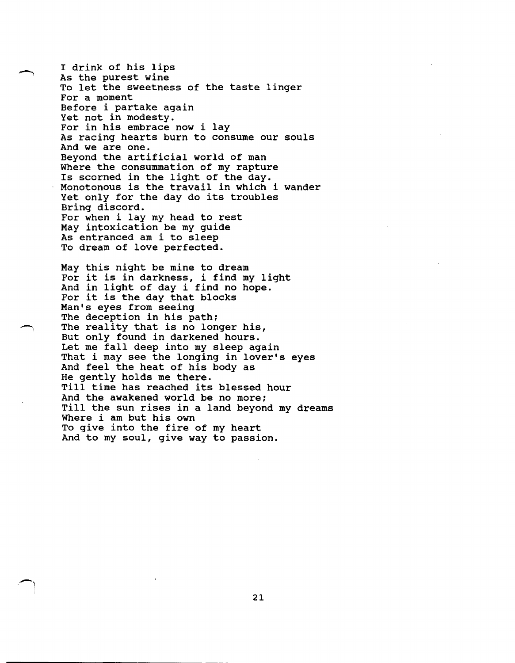I drink of his lips As the purest wine To let the sweetness of the taste linger For a moment Before i partake again Yet not in modesty. For in his embrace now i lay As racing hearts burn to consume our souls And we are one. Beyond the artificial world of man Where the consummation of my rapture Is scorned in the light of the day. Monotonous is the travail in which i wander Yet only for the day do its troubles Bring discord. For when i lay my head to rest May intoxication be my guide As entranced am i to sleep To dream of love perfected.

May this night be mine to dream may this hight be mine to dream<br>For it is in darkness, i find my light And in light of day i find no hope. For it is the day that blocks Man's eyes from seeing The deception in his path; The reality that is no longer his, But only found in darkened hours. Let me fall deep into my sleep again That i may see the longing in lover's eyes And feel the heat of his body as He gently holds me there. Till time has reached its blessed hour And the awakened world be no more: Till the sun rises in a land beyond my dreams Where i am but his own To give into the fire of my heart And to my soul, give way to passion.

 $\bigcap$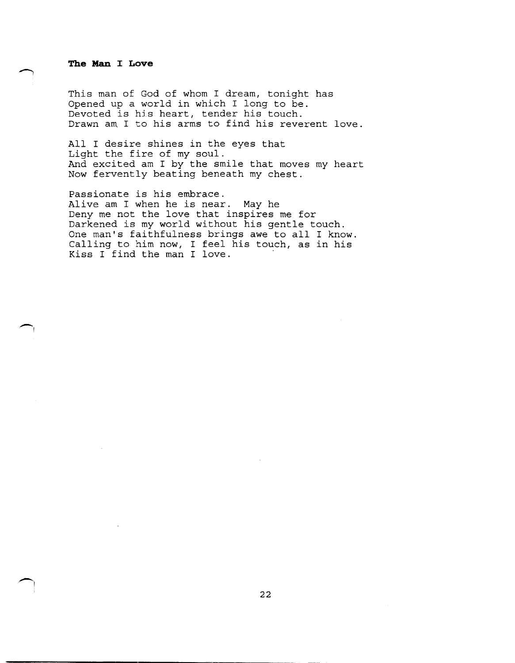#### **The Man I Love**

 $\overline{\phantom{1}}$ 

This man of God of whom I dream, tonight has Opened up a world in which I long to be. Devoted is his heart, tender his touch. Drawn am. I to his arms to find his reverent love.

All I desire shines in the eyes that Light the fire of my soul. And excited am I by the smile that moves my heart Now fervently beating beneath my chest.

Passionate is his embrace. Alive am I when he is near. May he Deny me not the love that inspires me for Darkened is my world without his gentle touch. One man's faithfulness brings awe to all I know. Calling to him now, I feel his touch, as in his Kiss I find the man I love.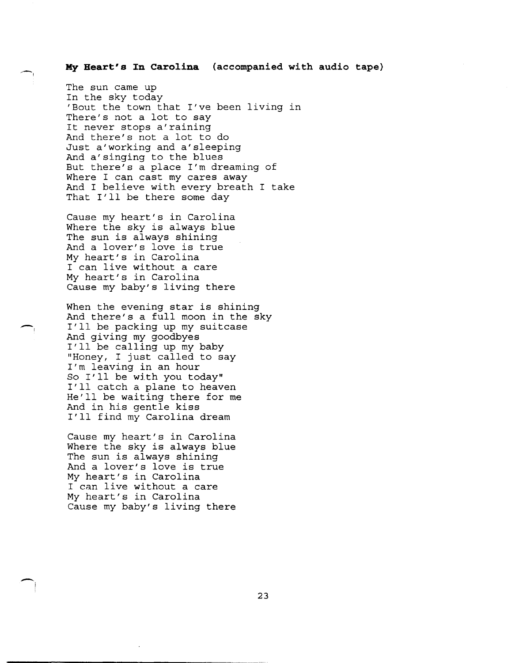#### **My Heart's In Carolina (accompanied with audio tape)**

The sun came up In the sky today 'Bout the town that I've been living in There's not a lot to say It never stops a'raining And there's not a lot to do Just a'working and a'sleeping And a'singing to the blues But there's a place I'm dreaming of Where I can cast my cares away And I believe with every breath I take That I'll be there some day

Cause my heart's in Carolina Where the sky is always blue The sun is always shining And a lover's love is true My heart's in Carolina I can live without a care My heart's in Carolina Cause my baby's living there

 $\sim$ 

When the evening star is shining And there's a full moon in the sky I'll be packing up my suitcase And giving my goodbyes I'll be calling up my baby "Honey, I just called to say I'm leaving in an hour So I'll be with you today" I'll catch a plane to heaven He'll be waiting there for me And in his gentle kiss I'll find my Carolina dream

Cause my heart's in Carolina Where the sky is always blue The sun is always shining And a lover's love is true My heart's in Carolina I can live without a care My heart's in Carolina Cause my baby's living there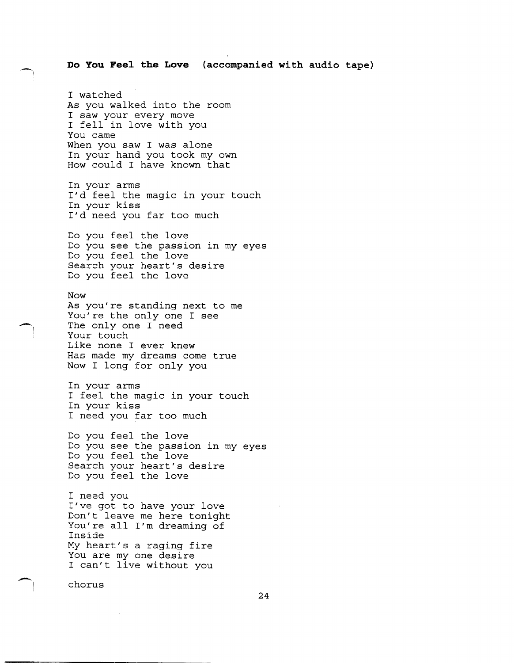# **Do You Feel the Love (accompanied with audio tape)**

I watched As you walked into the room I saw your every move I fell in love with you You came When you saw I was alone In your hand you took my own How could I have known that

 $\rightarrow$ 

In your arms I'd feel the magic in your touch In your kiss I'd need you far too much

Do you feel the love Do you see the passion in my eyes Do you feel the love Search your heart's desire Do you feel the love

Now As you're standing next to me You're the only one I see The only one I need Your touch Like none I ever knew Has made my dreams come true Now I long for only you

In your arms I feel the magic in your touch In your kiss I need you far too much

Do you feel the love Do you see the passion in my eyes Do you feel the love Search your heart's desire Do you feel the love

I need you I've got to have your love Don't leave me here tonight You're all I'm dreaming of Inside My heart's a raging fire You are my one desire I can't live without you

chorus

--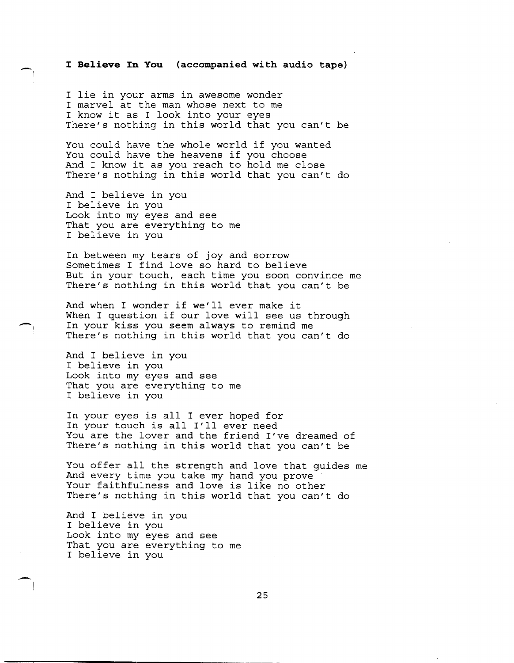# **I Believe In You (accompanied with audio tape)**

I lie in your arms in awesome wonder I marvel at the man whose next to me I know it as I look into your eyes There's nothing in this world that you can't be

You could have the whole world if you wanted You could have the heavens if you choose And I know it as you reach to hold me close There's nothing in this world that you can't do

And I believe in you I believe in you Look into my eyes and see That you are everything to me I believe in you

 $\overline{\phantom{0}}$ 

 $\overline{\phantom{1}}$ 

-!

In between my tears of joy and sorrow Sometimes I find love so hard to believe But in your touch, each time you soon convince me There's nothing in this world that you can't be

And when I wonder if we'll ever make it When I question if our love will see us through In your kiss you seem always to remind me There's nothing in this world that you can't do

And I believe in you I believe in you Look into my eyes and see That you are everything to me I believe in you

In your eyes is all I ever hoped for In your touch is all I'll ever need You are the lover and the friend I've dreamed of There's nothing in this world that you can't be

You offer all the strength and love that guides me And every time you take my hand you prove Your faithfulness and love is like no other There's nothing in this world that you can't do

And I believe in you I believe in you Look into my eyes and see That you are everything to me I believe in you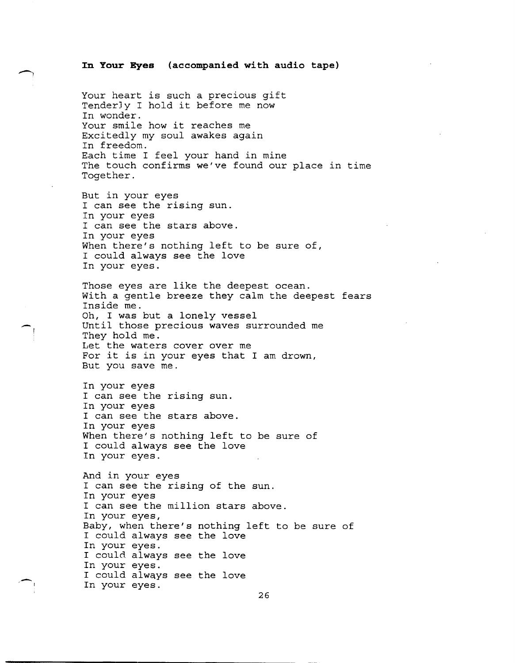#### **In Your Eyes (accompanied with audio tape)**

Your heart is such a precious gift TenderJy I hold it before me now In wonder. Your smile how it reaches me Excitedly my soul awakes again In freedom. Each time I feel your hand in mine The touch confirms we've found our place in time Together.

But in your eyes I can see the rising sun. In your eyes I can see the stars above. In your eyes When there's nothing left to be sure of, I could always see the love In your eyes.

-

 $-$ 

Those eyes are like the deepest ocean. With a gentle breeze they calm the deepest fears Inside me. Oh, I was but a lonely vessel Until those precious waves surrounded me They hold me. Let the waters cover over me For it is in your eyes that I am drown, But you save me.

In your eyes I can see the rising sun. In your eyes I can see the stars above. In your eyes When there's nothing left to be sure of I could always see the love In your eyes.

And in your eyes I can see the rising of the sun. In your eyes I can see the million stars above. In your eyes, Baby, when there's nothing left to be sure of I could always see the love In your eyes. I could always see the love In your eyes. I could always see the love In your eyes.